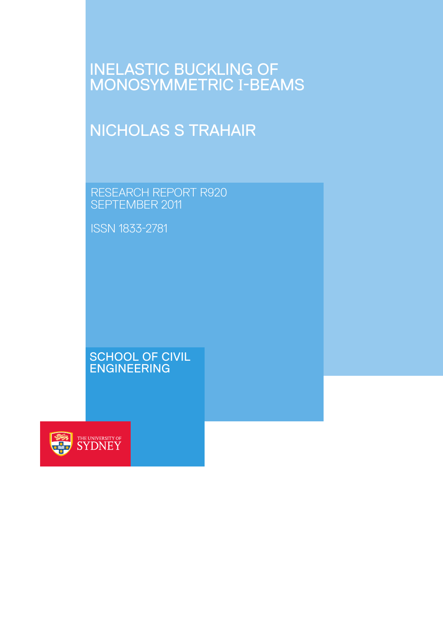# **INELASTIC BUCKLING O** MONOSYMMETRIC I-BEA

# NICHOLAS S TRAHAIR

RESEARCH REPORT R920 SEPTEMBER 2011

ISSN 1833-2781

SCHOOL OF CIVIL ENGINEERING

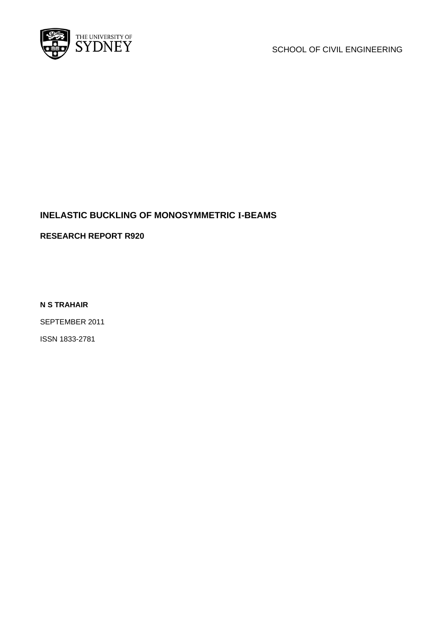

SCHOOL OF CIVIL ENGINEERING

# **INELASTIC BUCKLING OF MONOSYMMETRIC I-BEAMS**

**RESEARCH REPORT R920** 

**N S TRAHAIR** 

SEPTEMBER 2011

ISSN 1833-2781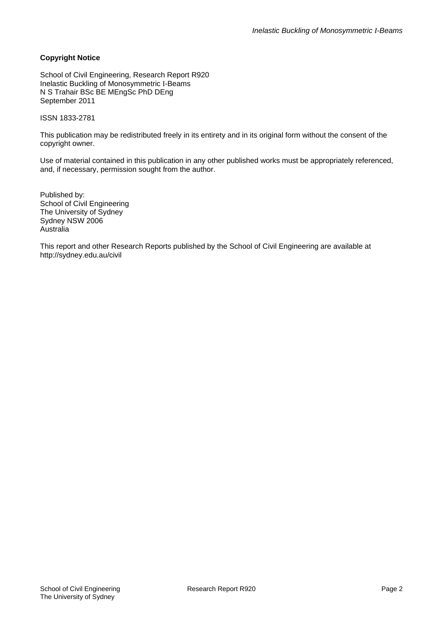#### **Copyright Notice**

School of Civil Engineering, Research Report R920 Inelastic Buckling of Monosymmetric I-Beams N S Trahair BSc BE MEngSc PhD DEng September 2011

#### ISSN 1833-2781

This publication may be redistributed freely in its entirety and in its original form without the consent of the copyright owner.

Use of material contained in this publication in any other published works must be appropriately referenced, and, if necessary, permission sought from the author.

Published by: School of Civil Engineering The University of Sydney Sydney NSW 2006 Australia

This report and other Research Reports published by the School of Civil Engineering are available at http://sydney.edu.au/civil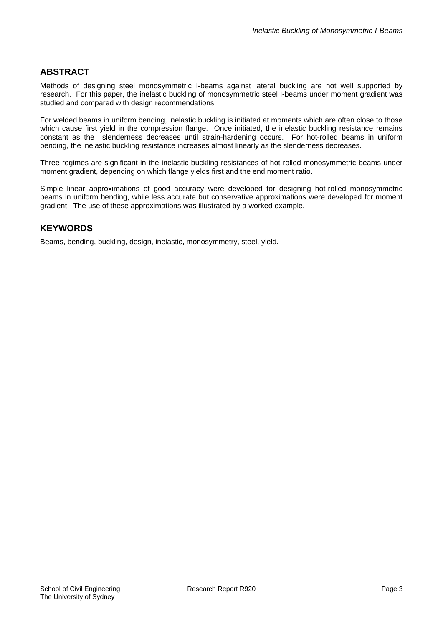# **ABSTRACT**

Methods of designing steel monosymmetric I-beams against lateral buckling are not well supported by research. For this paper, the inelastic buckling of monosymmetric steel I-beams under moment gradient was studied and compared with design recommendations.

For welded beams in uniform bending, inelastic buckling is initiated at moments which are often close to those which cause first yield in the compression flange. Once initiated, the inelastic buckling resistance remains constant as the slenderness decreases until strain-hardening occurs. For hot-rolled beams in uniform bending, the inelastic buckling resistance increases almost linearly as the slenderness decreases.

Three regimes are significant in the inelastic buckling resistances of hot-rolled monosymmetric beams under moment gradient, depending on which flange yields first and the end moment ratio.

Simple linear approximations of good accuracy were developed for designing hot-rolled monosymmetric beams in uniform bending, while less accurate but conservative approximations were developed for moment gradient. The use of these approximations was illustrated by a worked example.

## **KEYWORDS**

Beams, bending, buckling, design, inelastic, monosymmetry, steel, yield.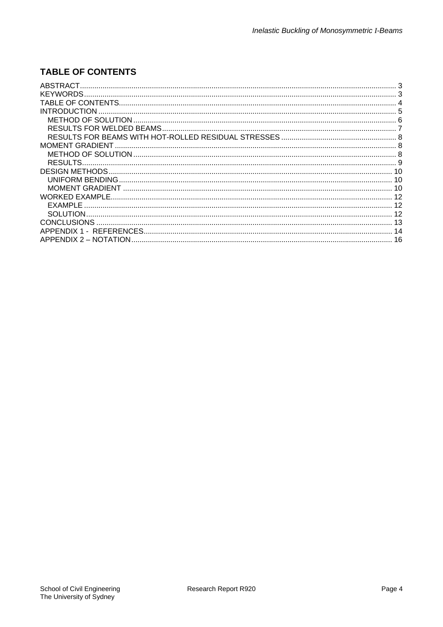# **TABLE OF CONTENTS**

| <b>KEYWORDS</b>       |  |
|-----------------------|--|
|                       |  |
| <b>INTRODUCTION</b>   |  |
|                       |  |
|                       |  |
|                       |  |
|                       |  |
|                       |  |
|                       |  |
|                       |  |
|                       |  |
|                       |  |
|                       |  |
| EXAMPLE               |  |
|                       |  |
|                       |  |
|                       |  |
| APPENDIX 2 – NOTATION |  |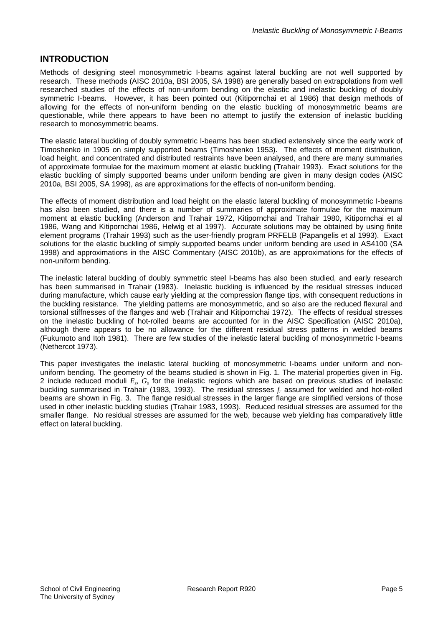## **INTRODUCTION**

Methods of designing steel monosymmetric I-beams against lateral buckling are not well supported by research. These methods (AISC 2010a, BSI 2005, SA 1998) are generally based on extrapolations from well researched studies of the effects of non-uniform bending on the elastic and inelastic buckling of doubly symmetric I-beams. However, it has been pointed out (Kitipornchai et al 1986) that design methods of allowing for the effects of non-uniform bending on the elastic buckling of monosymmetric beams are questionable, while there appears to have been no attempt to justify the extension of inelastic buckling research to monosymmetric beams.

The elastic lateral buckling of doubly symmetric I-beams has been studied extensively since the early work of Timoshenko in 1905 on simply supported beams (Timoshenko 1953). The effects of moment distribution, load height, and concentrated and distributed restraints have been analysed, and there are many summaries of approximate formulae for the maximum moment at elastic buckling (Trahair 1993). Exact solutions for the elastic buckling of simply supported beams under uniform bending are given in many design codes (AISC 2010a, BSI 2005, SA 1998), as are approximations for the effects of non-uniform bending.

The effects of moment distribution and load height on the elastic lateral buckling of monosymmetric I-beams has also been studied, and there is a number of summaries of approximate formulae for the maximum moment at elastic buckling (Anderson and Trahair 1972, Kitipornchai and Trahair 1980, Kitipornchai et al 1986, Wang and Kitipornchai 1986, Helwig et al 1997). Accurate solutions may be obtained by using finite element programs (Trahair 1993) such as the user-friendly program PRFELB (Papangelis et al 1993). Exact solutions for the elastic buckling of simply supported beams under uniform bending are used in AS4100 (SA 1998) and approximations in the AISC Commentary (AISC 2010b), as are approximations for the effects of non-uniform bending.

The inelastic lateral buckling of doubly symmetric steel I-beams has also been studied, and early research has been summarised in Trahair (1983). Inelastic buckling is influenced by the residual stresses induced during manufacture, which cause early yielding at the compression flange tips, with consequent reductions in the buckling resistance. The yielding patterns are monosymmetric, and so also are the reduced flexural and torsional stiffnesses of the flanges and web (Trahair and Kitipornchai 1972). The effects of residual stresses on the inelastic buckling of hot-rolled beams are accounted for in the AISC Specification (AISC 2010a), although there appears to be no allowance for the different residual stress patterns in welded beams (Fukumoto and Itoh 1981). There are few studies of the inelastic lateral buckling of monosymmetric I-beams (Nethercot 1973).

This paper investigates the inelastic lateral buckling of monosymmetric I-beams under uniform and nonuniform bending. The geometry of the beams studied is shown in Fig. 1. The material properties given in Fig. 2 include reduced moduli *Es, Gs* for the inelastic regions which are based on previous studies of inelastic buckling summarised in Trahair (1983, 1993). The residual stresses *fr* assumed for welded and hot-rolled beams are shown in Fig. 3. The flange residual stresses in the larger flange are simplified versions of those used in other inelastic buckling studies (Trahair 1983, 1993). Reduced residual stresses are assumed for the smaller flange. No residual stresses are assumed for the web, because web yielding has comparatively little effect on lateral buckling.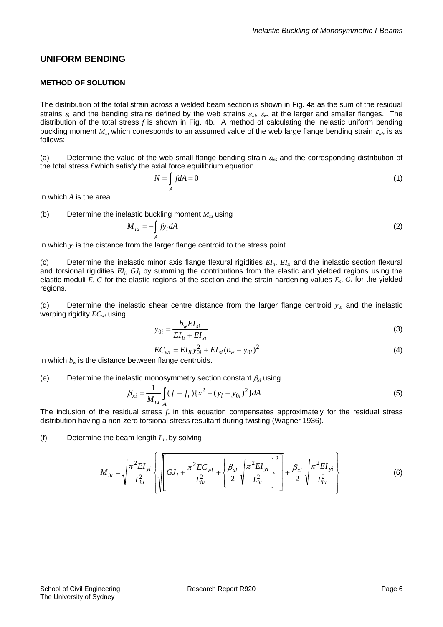#### **UNIFORM BENDING**

#### **METHOD OF SOLUTION**

The distribution of the total strain across a welded beam section is shown in Fig. 4a as the sum of the residual strains  $\varepsilon_r$  and the bending strains defined by the web strains  $\varepsilon_{w}$ ,  $\varepsilon_{w}$  at the larger and smaller flanges. The distribution of the total stress *f* is shown in Fig. 4b. A method of calculating the inelastic uniform bending buckling moment  $M_{i\nu}$  which corresponds to an assumed value of the web large flange bending strain  $\varepsilon_{\nu}$ , is as follows:

(a) Determine the value of the web small flange bending strain  $\varepsilon_{ws}$  and the corresponding distribution of the total stress *f* which satisfy the axial force equilibrium equation

$$
N = \int_{A} f dA = 0
$$
 (1)

in which *A* is the area.

(b) Determine the inelastic buckling moment *Miu* using

$$
M_{iu} = -\int_A f y_l dA \tag{2}
$$

in which  $y_l$  is the distance from the larger flange centroid to the stress point.

(c) Determine the inelastic minor axis flange flexural rigidities *EIli*, *EIsi* and the inelastic section flexural and torsional rigidities *EIi, GJi* by summing the contributions from the elastic and yielded regions using the elastic moduli *E, G* for the elastic regions of the section and the strain-hardening values  $E_s$ ,  $G_s$  for the yielded regions.

(d) Determine the inelastic shear centre distance from the larger flange centroid  $y_{0i}$  and the inelastic warping rigidity *ECwi* using

$$
y_{0i} = \frac{b_w E I_{si}}{E I_{li} + E I_{si}}
$$
\n
$$
\tag{3}
$$

$$
EC_{wi} = EI_{li} y_{0i}^2 + EI_{si} (b_w - y_{0i})^2
$$
 (4)

in which  $b_w$  is the distance between flange centroids.

(e) Determine the inelastic monosymmetry section constant  $\beta_{xi}$  using

$$
\beta_{xi} = \frac{1}{M_{iu}} \int_{A} (f - f_r) \{ x^2 + (y_l - y_{0i})^2 \} dA
$$
 (5)

The inclusion of the residual stress *fr* in this equation compensates approximately for the residual stress distribution having a non-zero torsional stress resultant during twisting (Wagner 1936).

(f) Determine the beam length *Liu* by solving

$$
M_{iu} = \sqrt{\frac{\pi^2 EI_{yi}}{L_{iu}^2}} \left\{ \sqrt{\left(GJ_i + \frac{\pi^2 EC_{wi}}{L_{iu}^2} + \left\{\frac{\beta_{xi}}{2}\sqrt{\frac{\pi^2 EI_{yi}}{L_{iu}^2}}\right\}^2\right]} + \frac{\beta_{xi}}{2}\sqrt{\frac{\pi^2 EI_{yi}}{L_{iu}^2}} \right\}
$$
(6)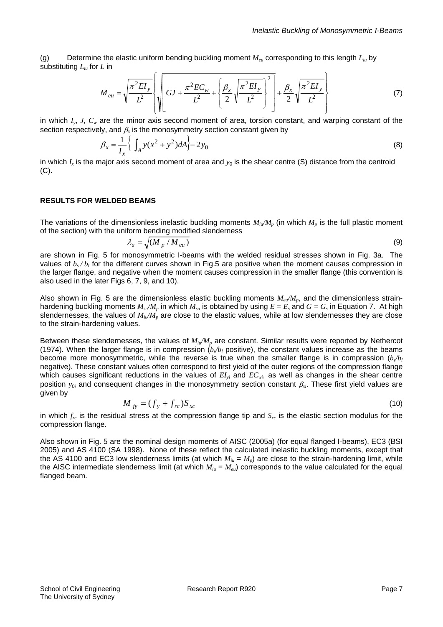(g) Determine the elastic uniform bending buckling moment *Meu* corresponding to this length *Liu* by substituting *Liu* for *L* in

$$
M_{eu} = \sqrt{\frac{\pi^2 EI_y}{L^2}} \left\{ \sqrt{\left[ GJ + \frac{\pi^2 EC_w}{L^2} + \left\{ \frac{\beta_x}{2} \sqrt{\frac{\pi^2 EI_y}{L^2}} \right\}^2 \right] + \frac{\beta_x}{2} \sqrt{\frac{\pi^2 EI_y}{L^2}} \right\}
$$
(7)

in which *Iy*, *J*, *Cw* are the minor axis second moment of area, torsion constant, and warping constant of the section respectively, and  $\beta_r$  is the monosymmetry section constant given by

$$
\beta_x = \frac{1}{I_x} \left\{ \int_A y(x^2 + y^2) dA \right\} - 2y_0
$$
\n(8)

in which  $I_x$  is the major axis second moment of area and  $y_0$  is the shear centre (S) distance from the centroid  $(C).$ 

#### **RESULTS FOR WELDED BEAMS**

The variations of the dimensionless inelastic buckling moments  $M_{ii}/M_p$  (in which  $M_p$  is the full plastic moment of the section) with the uniform bending modified slenderness

$$
\lambda_u = \sqrt{(M_p / M_{eu})} \tag{9}
$$

are shown in Fig. 5 for monosymmetric I-beams with the welded residual stresses shown in Fig. 3a. The values of  $b_s/b_l$  for the different curves shown in Fig.5 are positive when the moment causes compression in the larger flange, and negative when the moment causes compression in the smaller flange (this convention is also used in the later Figs 6, 7, 9, and 10).

Also shown in Fig. 5 are the dimensionless elastic buckling moments  $M_{e\nu}/M_{p}$ , and the dimensionless strainhardening buckling moments  $M_{s}$  *M<sub>su</sub>* in which  $M_{s}$  is obtained by using  $E = E_s$  and  $G = G_s$  in Equation 7. At high slendernesses, the values of  $M_{ii}/M_p$  are close to the elastic values, while at low slendernesses they are close to the strain-hardening values.

Between these slendernesses, the values of  $M_{ii}/M_p$  are constant. Similar results were reported by Nethercot (1974). When the larger flange is in compression  $(b<sub>s</sub>/b<sub>l</sub>$  positive), the constant values increase as the beams become more monosymmetric, while the reverse is true when the smaller flange is in compression  $(b_x/b_y)$ negative). These constant values often correspond to first yield of the outer regions of the compression flange which causes significant reductions in the values of  $EI_{vi}$  and  $EC_{wi}$ , as well as changes in the shear centre position  $y_{0i}$  and consequent changes in the monosymmetry section constant  $\beta_{vi}$ . These first yield values are given by

$$
M_{fv} = (f_y + f_{rc})S_{xc} \tag{10}
$$

in which *frc* is the residual stress at the compression flange tip and *Sxc* is the elastic section modulus for the compression flange.

Also shown in Fig. 5 are the nominal design moments of AISC (2005a) (for equal flanged I-beams), EC3 (BSI 2005) and AS 4100 (SA 1998). None of these reflect the calculated inelastic buckling moments, except that the AS 4100 and EC3 low slenderness limits (at which  $M_{iu} = M_p$ ) are close to the strain-hardening limit, while the AISC intermediate slenderness limit (at which  $M_{iu} = M_{eu}$ ) corresponds to the value calculated for the equal flanged beam.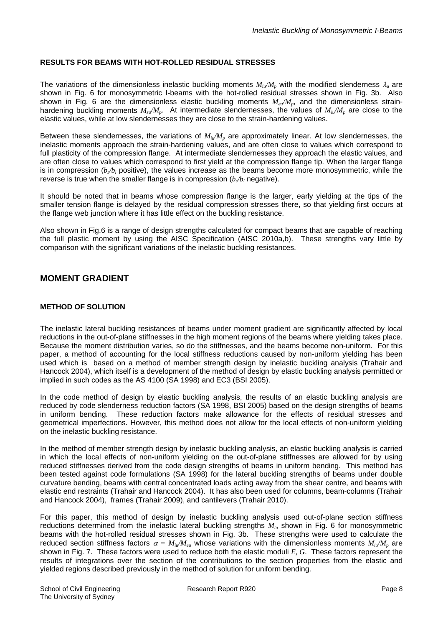#### **RESULTS FOR BEAMS WITH HOT-ROLLED RESIDUAL STRESSES**

The variations of the dimensionless inelastic buckling moments  $M_{ii}/M_p$  with the modified slenderness  $\lambda_u$  are shown in Fig. 6 for monosymmetric I-beams with the hot-rolled residual stresses shown in Fig. 3b. Also shown in Fig. 6 are the dimensionless elastic buckling moments  $M_{\text{eu}}/M_p$ , and the dimensionless strainhardening buckling moments  $M_{s}M_p$ . At intermediate slendernesses, the values of  $M_{i}M_p$  are close to the elastic values, while at low slendernesses they are close to the strain-hardening values.

Between these slendernesses, the variations of  $M_{ii}/M_p$  are approximately linear. At low slendernesses, the inelastic moments approach the strain-hardening values, and are often close to values which correspond to full plasticity of the compression flange. At intermediate slendernesses they approach the elastic values, and are often close to values which correspond to first yield at the compression flange tip. When the larger flange is in compression  $(b_x/b_l)$  positive), the values increase as the beams become more monosymmetric, while the reverse is true when the smaller flange is in compression  $(b/b)$  negative).

It should be noted that in beams whose compression flange is the larger, early yielding at the tips of the smaller tension flange is delayed by the residual compression stresses there, so that yielding first occurs at the flange web junction where it has little effect on the buckling resistance.

Also shown in Fig.6 is a range of design strengths calculated for compact beams that are capable of reaching the full plastic moment by using the AISC Specification (AISC 2010a,b). These strengths vary little by comparison with the significant variations of the inelastic buckling resistances.

# **MOMENT GRADIENT**

#### **METHOD OF SOLUTION**

The inelastic lateral buckling resistances of beams under moment gradient are significantly affected by local reductions in the out-of-plane stiffnesses in the high moment regions of the beams where yielding takes place. Because the moment distribution varies, so do the stiffnesses, and the beams become non-uniform. For this paper, a method of accounting for the local stiffness reductions caused by non-uniform yielding has been used which is based on a method of member strength design by inelastic buckling analysis (Trahair and Hancock 2004), which itself is a development of the method of design by elastic buckling analysis permitted or implied in such codes as the AS 4100 (SA 1998) and EC3 (BSI 2005).

In the code method of design by elastic buckling analysis, the results of an elastic buckling analysis are reduced by code slenderness reduction factors (SA 1998, BSI 2005) based on the design strengths of beams in uniform bending. These reduction factors make allowance for the effects of residual stresses and geometrical imperfections. However, this method does not allow for the local effects of non-uniform yielding on the inelastic buckling resistance.

In the method of member strength design by inelastic buckling analysis, an elastic buckling analysis is carried in which the local effects of non-uniform yielding on the out-of-plane stiffnesses are allowed for by using reduced stiffnesses derived from the code design strengths of beams in uniform bending. This method has been tested against code formulations (SA 1998) for the lateral buckling strengths of beams under double curvature bending, beams with central concentrated loads acting away from the shear centre, and beams with elastic end restraints (Trahair and Hancock 2004). It has also been used for columns, beam-columns (Trahair and Hancock 2004), frames (Trahair 2009), and cantilevers (Trahair 2010).

For this paper, this method of design by inelastic buckling analysis used out-of-plane section stiffness reductions determined from the inelastic lateral buckling strengths *Miu* shown in Fig. 6 for monosymmetric beams with the hot-rolled residual stresses shown in Fig. 3b. These strengths were used to calculate the reduced section stiffness factors  $\alpha = M_{ii}/M_{eu}$  whose variations with the dimensionless moments  $M_{ii}/M_{p}$  are shown in Fig. 7. These factors were used to reduce both the elastic moduli *E, G*. These factors represent the results of integrations over the section of the contributions to the section properties from the elastic and yielded regions described previously in the method of solution for uniform bending.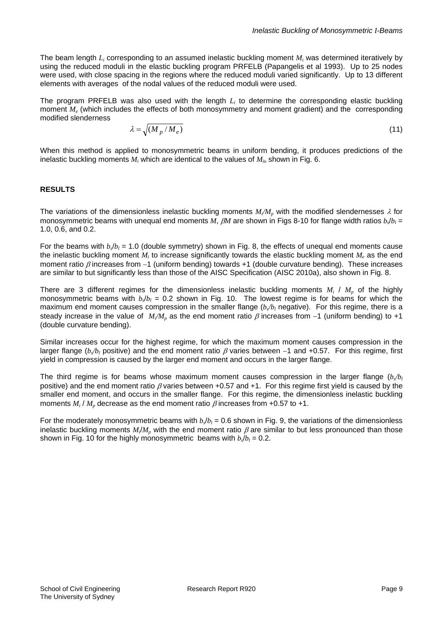The beam length *Li* corresponding to an assumed inelastic buckling moment *Mi* was determined iteratively by using the reduced moduli in the elastic buckling program PRFELB (Papangelis et al 1993). Up to 25 nodes were used, with close spacing in the regions where the reduced moduli varied significantly. Up to 13 different elements with averages of the nodal values of the reduced moduli were used.

The program PRFELB was also used with the length *Li* to determine the corresponding elastic buckling moment *Me* (which includes the effects of both monosymmetry and moment gradient) and the corresponding modified slenderness

$$
\lambda = \sqrt{\left(M_p / M_e\right)}\tag{11}
$$

When this method is applied to monosymmetric beams in uniform bending, it produces predictions of the inelastic buckling moments *Mi* which are identical to the values of *Miu* shown in Fig. 6.

#### **RESULTS**

The variations of the dimensionless inelastic buckling moments  $M/N_p$  with the modified slendernesses  $\lambda$  for monosymmetric beams with unequal end moments *M*,  $\beta M$  are shown in Figs 8-10 for flange width ratios  $b\sqrt{b}$  = 1.0, 0.6, and 0.2.

For the beams with  $b_a/b_b = 1.0$  (double symmetry) shown in Fig. 8, the effects of unequal end moments cause the inelastic buckling moment *M<sub>i</sub>* to increase significantly towards the elastic buckling moment *M<sub>i</sub>* as the end moment ratio  $\beta$  increases from -1 (uniform bending) towards +1 (double curvature bending). These increases are similar to but significantly less than those of the AISC Specification (AISC 2010a), also shown in Fig. 8.

There are 3 different regimes for the dimensionless inelastic buckling moments  $M_i$  /  $M_i$  of the highly monosymmetric beams with  $b/b_l = 0.2$  shown in Fig. 10. The lowest regime is for beams for which the maximum end moment causes compression in the smaller flange  $(b/b)$  negative). For this regime, there is a steady increase in the value of  $M/N_p$  as the end moment ratio  $\beta$  increases from  $-1$  (uniform bending) to +1 (double curvature bending).

Similar increases occur for the highest regime, for which the maximum moment causes compression in the larger flange ( $b/b$ , positive) and the end moment ratio  $\beta$  varies between  $-1$  and +0.57. For this regime, first yield in compression is caused by the larger end moment and occurs in the larger flange.

The third regime is for beams whose maximum moment causes compression in the larger flange  $(b\sqrt{b})$ positive) and the end moment ratio  $\beta$  varies between +0.57 and +1. For this regime first yield is caused by the smaller end moment, and occurs in the smaller flange. For this regime, the dimensionless inelastic buckling moments  $M_i / M_p$  decrease as the end moment ratio  $\beta$  increases from +0.57 to +1.

For the moderately monosymmetric beams with  $b_s/b_l = 0.6$  shown in Fig. 9, the variations of the dimensionless inelastic buckling moments  $M/M_p$  with the end moment ratio  $\beta$  are similar to but less pronounced than those shown in Fig. 10 for the highly monosymmetric beams with  $b/b_1 = 0.2$ .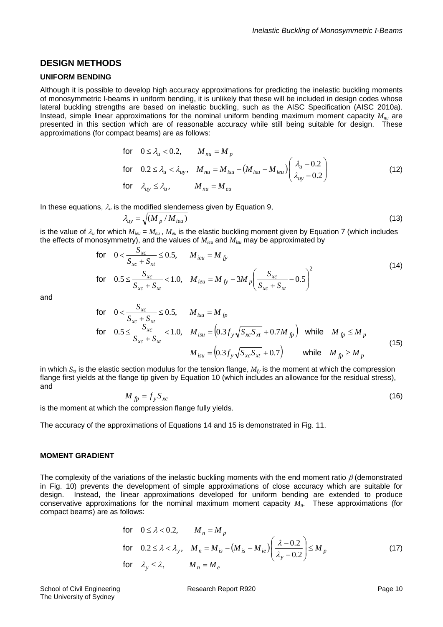#### **DESIGN METHODS**

#### **UNIFORM BENDING**

Although it is possible to develop high accuracy approximations for predicting the inelastic buckling moments of monosymmetric I-beams in uniform bending, it is unlikely that these will be included in design codes whose lateral buckling strengths are based on inelastic buckling, such as the AISC Specification (AISC 2010a). Instead, simple linear approximations for the nominal uniform bending maximum moment capacity *Mnu* are presented in this section which are of reasonable accuracy while still being suitable for design. These approximations (for compact beams) are as follows:

for 
$$
0 \le \lambda_u < 0.2
$$
,  $M_{nu} = M_p$   
\nfor  $0.2 \le \lambda_u < \lambda_{uy}$ ,  $M_{nu} = M_{isu} - (M_{isu} - M_{ieu}) \left( \frac{\lambda_u - 0.2}{\lambda_{uy} - 0.2} \right)$   
\nfor  $\lambda_{uy} \le \lambda_u$ ,  $M_{nu} = M_{eu}$  (12)

In these equations,  $\lambda_u$  is the modified slenderness given by Equation 9,  $\lambda_{uv} = \sqrt{(M_p/M_{\text{ieu}})}$ 

$$
(13)
$$

is the value of  $\lambda_u$  for which  $M_{i\mu} = M_{\mu}$ ,  $M_{\nu}$  is the elastic buckling moment given by Equation 7 (which includes the effects of monosymmetry), and the values of *Mieu* and *Misu* may be approximated by

for 
$$
0 < \frac{S_{xc}}{S_{xc} + S_{xt}} \le 0.5
$$
,  $M_{ieu} = M_{fy}$   
\nfor  $0.5 \le \frac{S_{xc}}{S_{xc} + S_{xt}} < 1.0$ ,  $M_{ieu} = M_{fy} - 3M_p \left(\frac{S_{xc}}{S_{xc} + S_{xt}} - 0.5\right)^2$  (14)

and

for 
$$
0 < \frac{S_{xc}}{S_{xc} + S_{xt}} \le 0.5
$$
,  $M_{isu} = M_{fp}$   
\nfor  $0.5 \le \frac{S_{xc}}{S_{xc} + S_{xt}} < 1.0$ ,  $M_{isu} = (0.3 f_y \sqrt{S_{xc} S_{xt}} + 0.7 M_{fp})$  while  $M_{fp} \le M_p$   
\n $M_{isu} = (0.3 f_y \sqrt{S_{xc} S_{xt}} + 0.7)$  while  $M_{fp} \ge M_p$  (15)

in which  $S_{xt}$  is the elastic section modulus for the tension flange,  $M_{fy}$  is the moment at which the compression flange first yields at the flange tip given by Equation 10 (which includes an allowance for the residual stress), and

$$
M_{fp} = f_{y} S_{xc} \tag{16}
$$

is the moment at which the compression flange fully yields.

The accuracy of the approximations of Equations 14 and 15 is demonstrated in Fig. 11.

#### **MOMENT GRADIENT**

The complexity of the variations of the inelastic buckling moments with the end moment ratio  $\beta$  (demonstrated in Fig. 10) prevents the development of simple approximations of close accuracy which are suitable for design. Instead, the linear approximations developed for uniform bending are extended to produce conservative approximations for the nominal maximum moment capacity *Mn*. These approximations (for compact beams) are as follows:

for 
$$
0 \le \lambda < 0.2
$$
,  $M_n = M_p$   
\nfor  $0.2 \le \lambda < \lambda_y$ ,  $M_n = M_{is} - (M_{is} - M_{ie}) \left( \frac{\lambda - 0.2}{\lambda_y - 0.2} \right) \le M_p$   
\nfor  $\lambda_y \le \lambda$ ,  $M_n = M_e$  (17)

School of Civil Engineering **Research Report R920 Page 10** Page 10 The University of Sydney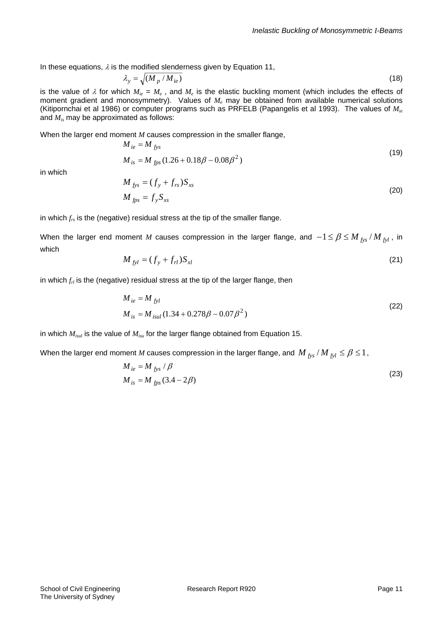In these equations,  $\lambda$  is the modified slenderness given by Equation 11,

$$
\lambda_{y} = \sqrt{(M_{p} / M_{ie})}
$$
\n(18)

is the value of  $\lambda$  for which  $M_{ie} = M_e$ , and  $M_e$  is the elastic buckling moment (which includes the effects of moment gradient and monosymmetry). Values of  $M<sub>e</sub>$  may be obtained from available numerical solutions (Kitipornchai et al 1986) or computer programs such as PRFELB (Papangelis et al 1993). The values of *Mie* and *Mis* may be approximated as follows:

When the larger end moment *M* causes compression in the smaller flange,

$$
M_{ie} = M_{fys}
$$
  
\n
$$
M_{is} = M_{fps} (1.26 + 0.18\beta - 0.08\beta^{2})
$$
\n(19)

in which

$$
M_{fys} = (f_y + f_{rs})S_{xs}
$$
  
\n
$$
M_{fps} = f_y S_{xs}
$$
\n(20)

in which *frs* is the (negative) residual stress at the tip of the smaller flange.

When the larger end moment *M* causes compression in the larger flange, and  $-1 \leq \beta \leq M_{fvs}/M_{fyl}$ , in which

$$
M_{fyl} = (f_y + f_{rl})S_{xl}
$$
 (21)

in which *frl* is the (negative) residual stress at the tip of the larger flange, then

$$
M_{ie} = M_{fyl}
$$
  
\n
$$
M_{is} = M_{isul} (1.34 + 0.278\beta - 0.07\beta^2)
$$
\n(22)

in which *Misul* is the value of *Misu* for the larger flange obtained from Equation 15.

When the larger end moment *M* causes compression in the larger flange, and *M*  $_{fvs}$  / *M*  $_{fil} \leq \beta \leq 1$ ,

$$
M_{ie} = M_{fys} / \beta
$$
  
\n
$$
M_{is} = M_{fps} (3.4 - 2\beta)
$$
\n(23)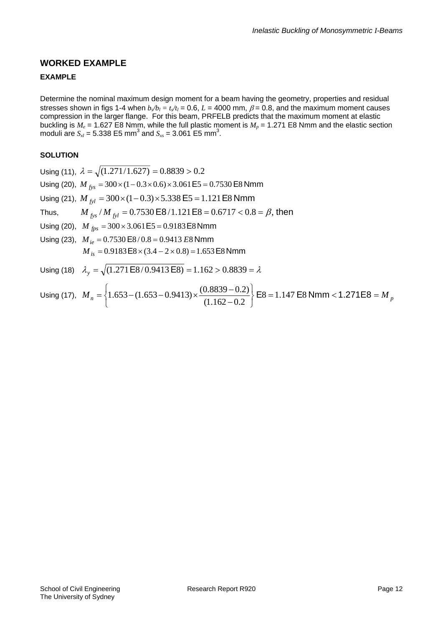# **WORKED EXAMPLE**

#### **EXAMPLE**

Determine the nominal maximum design moment for a beam having the geometry, properties and residual stresses shown in figs 1-4 when  $b_s/b_l = t_s/t_l = 0.6$ ,  $L = 4000$  mm,  $\beta = 0.8$ , and the maximum moment causes compression in the larger flange. For this beam, PRFELB predicts that the maximum moment at elastic buckling is  $M_e$  = 1.627 E8 Nmm, while the full plastic moment is  $M_p$  = 1.271 E8 Nmm and the elastic section moduli are  $S_{x} = 5.338 \text{ E5 mm}^3$  and  $S_{x} = 3.061 \text{ E5 mm}^3$ .

#### **SOLUTION**

Using (11),  $\lambda = \sqrt{(1.271/1.627)} = 0.8839 > 0.2$ Using (20),  $M_{fvs} = 300 \times (1 - 0.3 \times 0.6) \times 3.061 \text{ E5} = 0.7530 \text{ E8 Nmm}$ Using (21),  $M_{fyl} = 300 \times (1 - 0.3) \times 5.338 \text{ E}5 = 1.121 \text{ E}8 \text{ Nmm}$ Thus,  $M_{fvs} / M_{fvl} = 0.7530 \text{ E}8 / 1.121 \text{ E}8 = 0.6717 < 0.8 = \beta$ , then Using (20),  $M_{fps} = 300 \times 3.061 \text{ E}5 = 0.9183 \text{ E}8 \text{ Nmm}$ Using (23),  $M_{ie} = 0.7530 E8 / 0.8 = 0.9413 E8 Nmm$  $M_{is} = 0.9183 \text{ E}8 \times (3.4 - 2 \times 0.8) = 1.653 \text{ E}8 \text{ Nmm}$ Using (18)  $\lambda_v = \sqrt{(1.271 \text{ E}8/0.9413 \text{ E}8)} = 1.162 > 0.8839 = \lambda$ 

Using (17), 
$$
M_n = \left\{ 1.653 - (1.653 - 0.9413) \times \frac{(0.8839 - 0.2)}{(1.162 - 0.2)} \right\}
$$
 E8 = 1.147 E8 Nmm < 1.271E8 =  $M_p$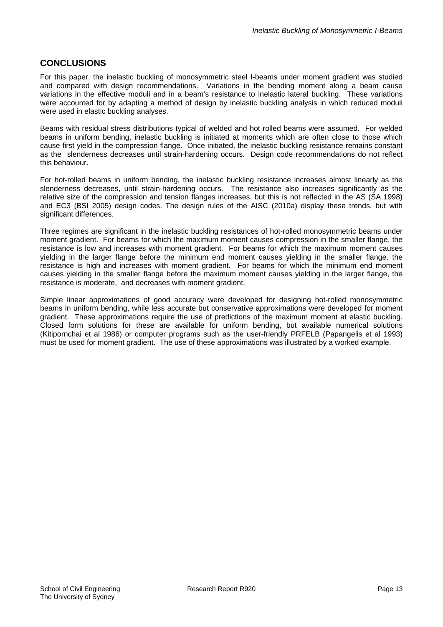## **CONCLUSIONS**

For this paper, the inelastic buckling of monosymmetric steel I-beams under moment gradient was studied and compared with design recommendations. Variations in the bending moment along a beam cause variations in the effective moduli and in a beam's resistance to inelastic lateral buckling. These variations were accounted for by adapting a method of design by inelastic buckling analysis in which reduced moduli were used in elastic buckling analyses.

Beams with residual stress distributions typical of welded and hot rolled beams were assumed. For welded beams in uniform bending, inelastic buckling is initiated at moments which are often close to those which cause first yield in the compression flange. Once initiated, the inelastic buckling resistance remains constant as the slenderness decreases until strain-hardening occurs. Design code recommendations do not reflect this behaviour.

For hot-rolled beams in uniform bending, the inelastic buckling resistance increases almost linearly as the slenderness decreases, until strain-hardening occurs. The resistance also increases significantly as the relative size of the compression and tension flanges increases, but this is not reflected in the AS (SA 1998) and EC3 (BSI 2005) design codes. The design rules of the AISC (2010a) display these trends, but with significant differences.

Three regimes are significant in the inelastic buckling resistances of hot-rolled monosymmetric beams under moment gradient. For beams for which the maximum moment causes compression in the smaller flange, the resistance is low and increases with moment gradient. For beams for which the maximum moment causes yielding in the larger flange before the minimum end moment causes yielding in the smaller flange, the resistance is high and increases with moment gradient. For beams for which the minimum end moment causes yielding in the smaller flange before the maximum moment causes yielding in the larger flange, the resistance is moderate, and decreases with moment gradient.

Simple linear approximations of good accuracy were developed for designing hot-rolled monosymmetric beams in uniform bending, while less accurate but conservative approximations were developed for moment gradient. These approximations require the use of predictions of the maximum moment at elastic buckling. Closed form solutions for these are available for uniform bending, but available numerical solutions (Kitipornchai et al 1986) or computer programs such as the user-friendly PRFELB (Papangelis et al 1993) must be used for moment gradient. The use of these approximations was illustrated by a worked example.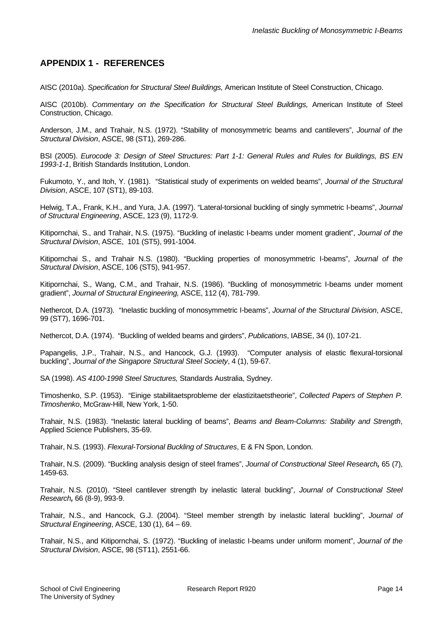# **APPENDIX 1 - REFERENCES**

AISC (2010a). *Specification for Structural Steel Buildings,* American Institute of Steel Construction, Chicago.

AISC (2010b). *Commentary on the Specification for Structural Steel Buildings,* American Institute of Steel Construction, Chicago.

Anderson, J.M., and Trahair, N.S. (1972). "Stability of monosymmetric beams and cantilevers", *Journal of the Structural Division*, ASCE, 98 (ST1), 269-286.

BSI (2005). *Eurocode 3: Design of Steel Structures: Part 1-1: General Rules and Rules for Buildings, BS EN 1993-1-1*, British Standards Institution, London.

Fukumoto, Y., and Itoh, Y. (1981). "Statistical study of experiments on welded beams", *Journal of the Structural Division*, ASCE, 107 (ST1), 89-103.

Helwig, T.A., Frank, K.H., and Yura, J.A. (1997). "Lateral-torsional buckling of singly symmetric I-beams", *Journal of Structural Engineering*, ASCE, 123 (9), 1172-9.

Kitipornchai, S., and Trahair, N.S. (1975). "Buckling of inelastic I-beams under moment gradient", *Journal of the Structural Division*, ASCE, 101 (ST5), 991-1004.

Kitipornchai S., and Trahair N.S. (1980). "Buckling properties of monosymmetric I-beams", *Journal of the Structural Division*, ASCE, 106 (ST5), 941-957.

Kitipornchai, S., Wang, C.M., and Trahair, N.S. (1986). "Buckling of monosymmetric I-beams under moment gradient", *Journal of Structural Engineering,* ASCE, 112 (4), 781-799.

Nethercot, D.A. (1973). "Inelastic buckling of monosymmetric I-beams", *Journal of the Structural Division*, ASCE, 99 (ST7), 1696-701.

Nethercot, D.A. (1974). "Buckling of welded beams and girders", *Publications*, IABSE, 34 (I), 107-21.

Papangelis, J.P., Trahair, N.S., and Hancock, G.J. (1993). "Computer analysis of elastic flexural-torsional buckling", *Journal of the Singapore Structural Steel Society*, 4 (1), 59-67.

SA (1998). *AS 4100-1998 Steel Structures,* Standards Australia, Sydney.

Timoshenko, S.P. (1953). "Einige stabilitaetsprobleme der elastizitaetstheorie", *Collected Papers of Stephen P. Timoshenko*, McGraw-Hill, New York, 1-50.

Trahair, N.S. (1983). "Inelastic lateral buckling of beams", *Beams and Beam-Columns: Stability and Strength*, Applied Science Publishers, 35-69.

Trahair, N.S. (1993). *Flexural-Torsional Buckling of Structures*, E & FN Spon, London.

Trahair, N.S. (2009). "Buckling analysis design of steel frames", *Journal of Constructional Steel Research,* 65 (7), 1459-63.

Trahair, N.S. (2010). "Steel cantilever strength by inelastic lateral buckling", *Journal of Constructional Steel Research,* 66 (8-9), 993-9.

Trahair, N.S., and Hancock, G.J. (2004). "Steel member strength by inelastic lateral buckling", *Journal of Structural Engineering*, ASCE, 130 (1), 64 – 69.

Trahair, N.S., and Kitipornchai, S. (1972). "Buckling of inelastic I-beams under uniform moment", *Journal of the Structural Division*, ASCE, 98 (ST11), 2551-66.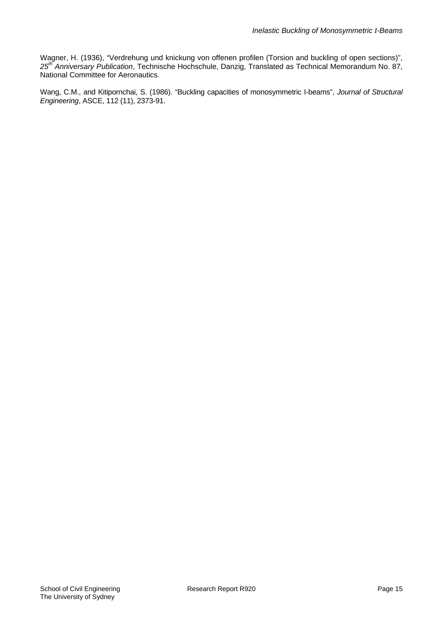Wagner, H. (1936), "Verdrehung und knickung von offenen profilen (Torsion and buckling of open sections)", *25th Anniversary Publication*, Technische Hochschule, Danzig, Translated as Technical Memorandum No. 87, National Committee for Aeronautics.

Wang, C.M., and Kitipornchai, S. (1986). "Buckling capacities of monosymmetric I-beams", *Journal of Structural Engineering*, ASCE, 112 (11), 2373-91.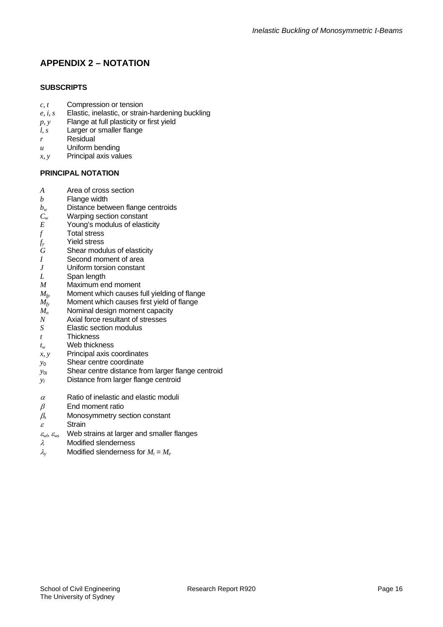# **APPENDIX 2 – NOTATION**

#### **SUBSCRIPTS**

- *c, t* Compression or tension
- *e, i, s* Elastic, inelastic, or strain-hardening buckling
- *p, y* Flange at full plasticity or first yield
- *l, s* Larger or smaller flange
- *r* Residual
- *u* Uniform bending
- *x, y* Principal axis values

#### **PRINCIPAL NOTATION**

- *A* Area of cross section
- *b* Flange width
- $b_w$  Distance between flange centroids<br> $C_w$  Warping section constant
- *C<sub>w</sub>* Warping section constant<br>*E* Young's modulus of elasti
- Young's modulus of elasticity
- *f* Total stress
- *fy* Yield stress
- *G* Shear modulus of elasticity
- *I* Second moment of area
- *J* Uniform torsion constant
- *L* Span length
- *M* Maximum end moment
- $M_{fp}$  Moment which causes full yielding of flange  $M_{fv}$  Moment which causes first yield of flange
- Moment which causes first yield of flange
- $\widetilde{M_n}$  Nominal design moment capacity
- *N* Axial force resultant of stresses
- *S* Elastic section modulus
- *t* Thickness
- *tw* Web thickness
- *x, y* Principal axis coordinates
- *y*<sup>0</sup>Shear centre coordinate
- $y_{0i}$  Shear centre distance from larger flange centroid
- $y_i$  Distance from larger flange centroid
- $\alpha$  Ratio of inelastic and elastic moduli
- $\beta$  End moment ratio
- $\beta_x$  Monosymmetry section constant
- $\epsilon$  Strain
- $\mathcal{E}_{wb}$   $\mathcal{E}_{ws}$  Web strains at larger and smaller flanges
- $λ$  Modified slenderness
- $\lambda$  **Modified slenderness for**  $M_i = M_e$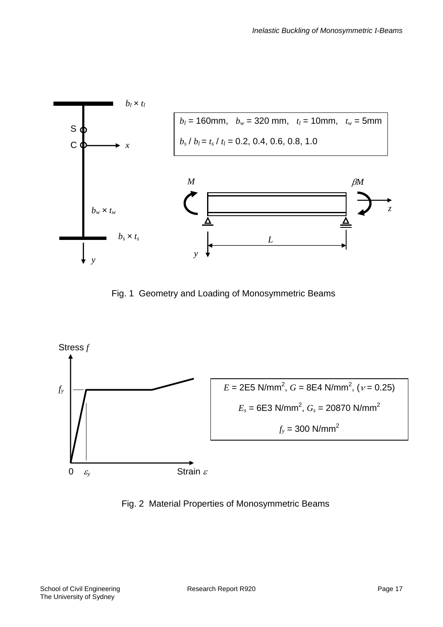

Fig. 1 Geometry and Loading of Monosymmetric Beams



Fig. 2 Material Properties of Monosymmetric Beams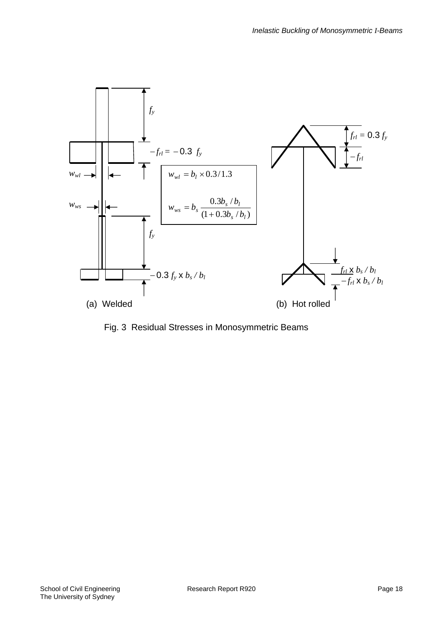

Fig. 3 Residual Stresses in Monosymmetric Beams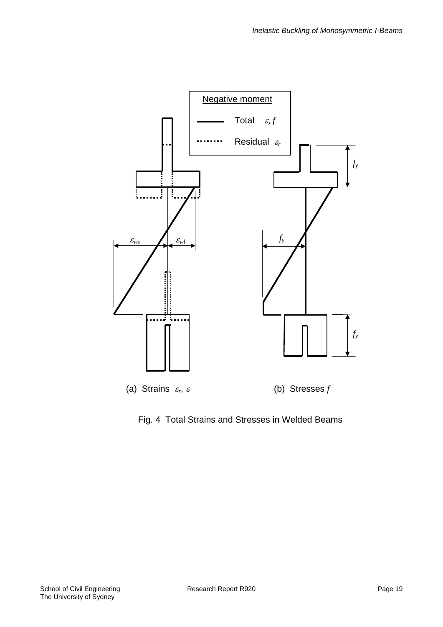

Fig. 4 Total Strains and Stresses in Welded Beams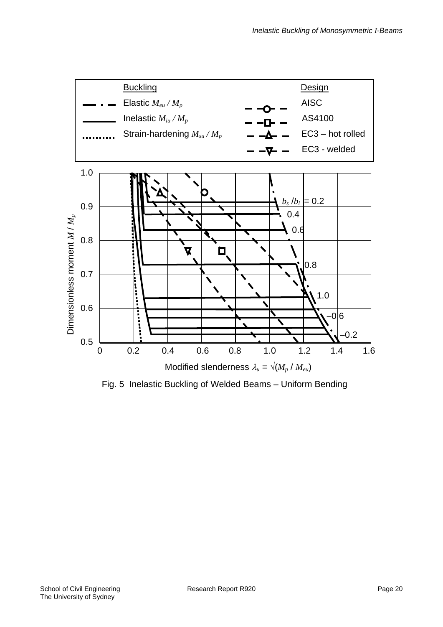

Fig. 5 Inelastic Buckling of Welded Beams – Uniform Bending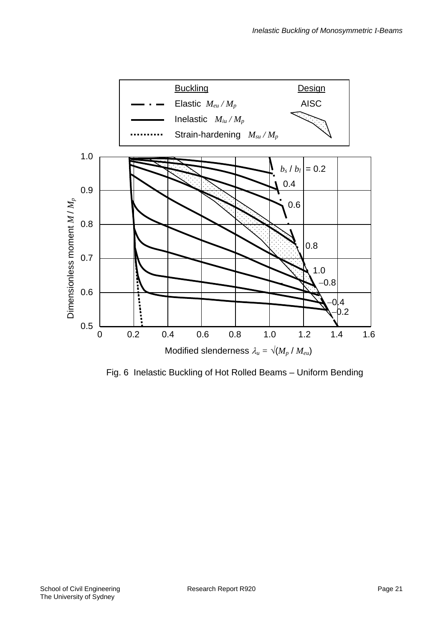

Fig. 6 Inelastic Buckling of Hot Rolled Beams – Uniform Bending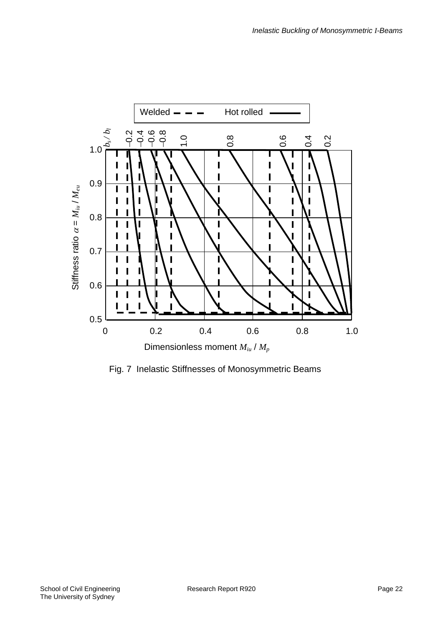

Fig. 7 Inelastic Stiffnesses of Monosymmetric Beams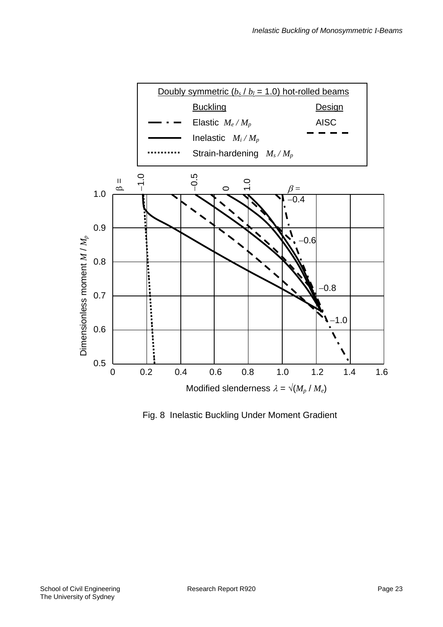

Fig. 8 Inelastic Buckling Under Moment Gradient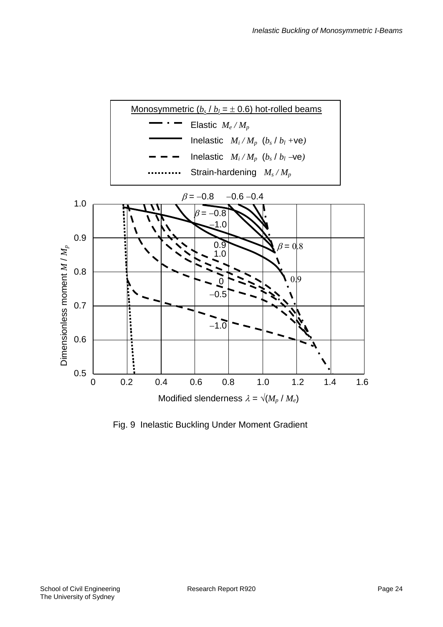

Fig. 9 Inelastic Buckling Under Moment Gradient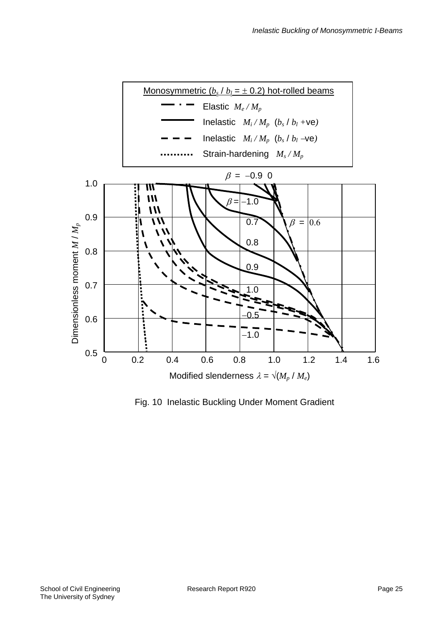

Fig. 10 Inelastic Buckling Under Moment Gradient